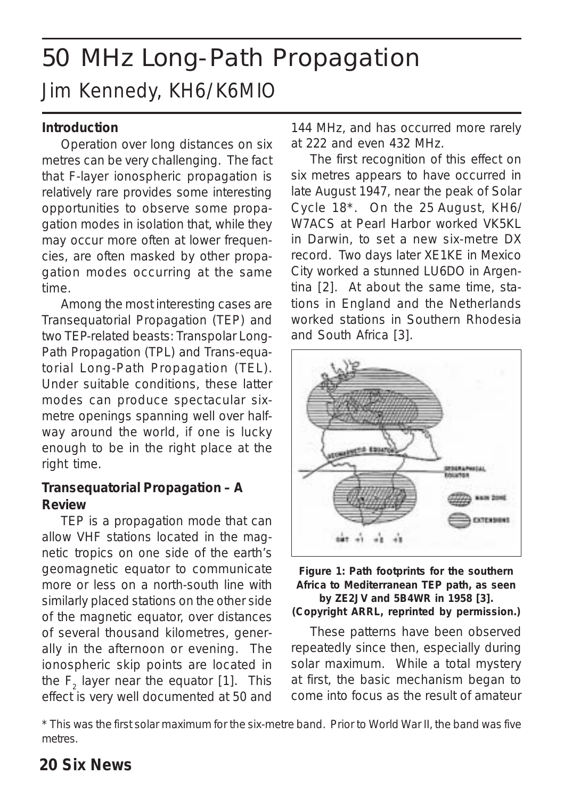# 50 MHz Long-Path Propagation Jim Kennedy, KH6/K6MIO

#### **Introduction**

Operation over long distances on six metres can be very challenging. The fact that F-layer ionospheric propagation is relatively rare provides some interesting opportunities to observe some propagation modes in isolation that, while they may occur more often at lower frequencies, are often masked by other propagation modes occurring at the same time.

Among the most interesting cases are Transequatorial Propagation (TEP) and two TEP-related beasts: Transpolar Long-Path Propagation (TPL) and Trans-equatorial Long-Path Propagation (TEL). Under suitable conditions, these latter modes can produce spectacular sixmetre openings spanning well over halfway around the world, *if* one is lucky enough to be in the right place at the right time.

#### **Transequatorial Propagation – A Review**

TEP is a propagation mode that can allow VHF stations located in the *magnetic* tropics on *one side* of the earth's geomagnetic equator to communicate more or less on a north-south line with similarly placed stations on the *other side* of the magnetic equator, over distances of several thousand kilometres, generally in the afternoon or evening. The ionospheric skip points are located in the  $F_2$  layer near the equator [1]. This effect is very well documented at 50 and 144 MHz, and has occurred more rarely at 222 and even 432 MHz.

The first recognition of this effect on six metres appears to have occurred in late August 1947, near the peak of Solar Cycle 18\*. On the 25 August, KH6/ W7ACS at Pearl Harbor worked VK5KL in Darwin, to set a new six-metre DX record. Two days later XE1KE in Mexico City worked a stunned LU6DO in Argentina [2]. At about the same time, stations in England and the Netherlands worked stations in Southern Rhodesia and South Africa [3].



#### **Figure 1: Path footprints for the southern Africa to Mediterranean TEP path, as seen by ZE2JV and 5B4WR in 1958 [3]. (Copyright ARRL, reprinted by permission.)**

These patterns have been observed repeatedly since then, especially during solar maximum. While a total mystery at first, the basic mechanism began to come into focus as the result of amateur

\* This was the first solar maximum for the six-metre band. Prior to World War II, the band was five metres.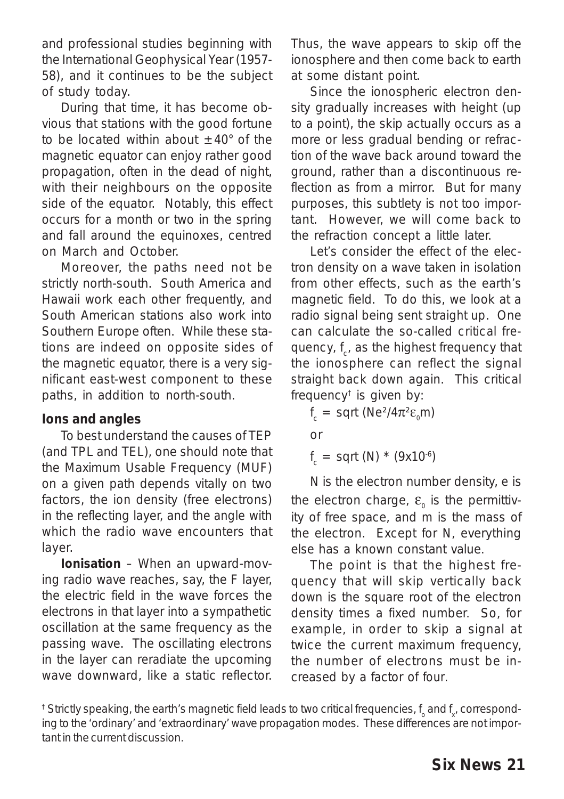and professional studies beginning with the International Geophysical Year (1957- 58), and it continues to be the subject of study today.

During that time, it has become obvious that stations with the good fortune to be located within about  $\pm 40^{\circ}$  of the magnetic equator can enjoy rather good propagation, often in the dead of night, with their neighbours on the opposite side of the equator. Notably, this effect occurs for a month or two in the spring and fall around the equinoxes, centred on March and October.

Moreover, the paths need not be strictly north-south. South America and Hawaii work each other frequently, and South American stations also work into Southern Europe often. While these stations are indeed on opposite sides of the magnetic equator, there is a very significant east-west component to these paths, in addition to north-south.

#### **Ions and angles**

To best understand the causes of TEP (and TPL and TEL), one should note that the Maximum Usable Frequency (MUF) on a given path depends vitally on two factors, the *ion* density (free electrons) in the reflecting layer, and the *angle* with which the radio wave encounters that layer.

*Ionisation –* When an upward-moving radio wave reaches, say, the F layer, the electric field in the wave forces the electrons in that layer into a sympathetic oscillation at the same frequency as the passing wave. The oscillating electrons in the layer can *reradiate* the upcoming wave downward, like a static reflector.

Thus, the wave appears to skip off the ionosphere and then come back to earth at some distant point.

Since the ionospheric electron density gradually increases with height (up to a point), the skip actually occurs as a more or less gradual bending or *refraction* of the wave back around toward the ground, rather than a discontinuous reflection as from a mirror. But for many purposes, this subtlety is not too important. However, we will come back to the refraction concept a little later.

Let's consider the effect of the electron density on a wave taken in isolation from other effects, such as the earth's magnetic field. To do this, we look at a radio signal being sent *straight up*. One can calculate the so-called *critical frequency, f<sub>c'</sub>* as the highest frequency that the ionosphere can reflect the signal *straight back down* again. This critical frequency† is given by:

*f*<sub>*c*</sub> = sqrt (*Ne*<sup>2</sup>/4π<sup>2</sup>ε<sub>*0</sub>m*)</sub> or

*f <sup>c</sup>* = sqrt (*N*) \* (9x10-6)

*N* is the electron number density, *e* is the electron charge, ε<sub>ρ</sub> is the permittivity of free space, and *m* is the mass of the electron. Except for *N*, everything else has a known constant value.

The point is that the highest frequency that will skip vertically back down is the square root of the electron density times a fixed number. So, for example, in order to skip a signal at *twice* the current maximum frequency, the number of electrons must be increased by a factor of *four*.

 $^{\dagger}$  Strictly speaking, the earth's magnetic field leads to two critical frequencies,  $\rm{f_o}$  and  $\rm{f_{x^\prime}}$  corresponding to the 'ordinary' and 'extraordinary' wave propagation modes. These differences are not important in the current discussion.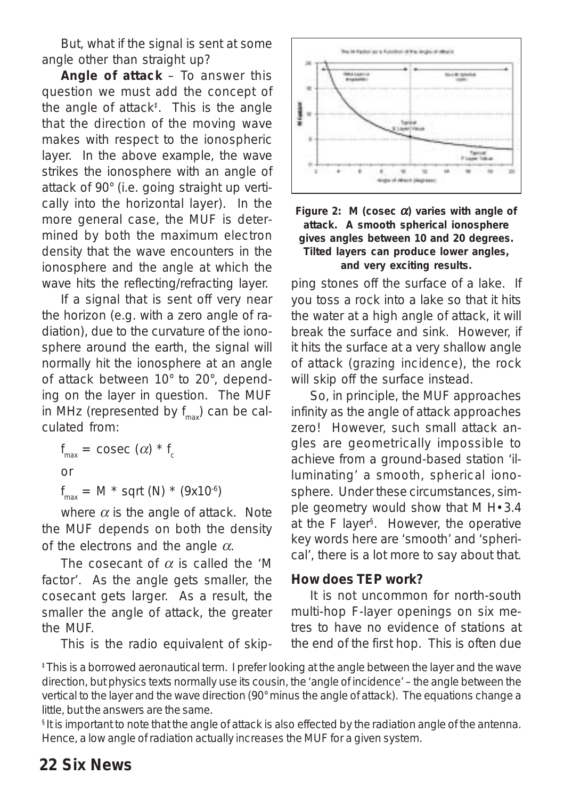But, what if the signal is sent at some angle other than straight up?

*Angle of attack* – To answer this question we must add the concept of the angle of attack<sup>‡</sup>. This is the angle that the direction of the moving wave makes with respect to the ionospheric layer. In the above example, the wave strikes the ionosphere with an angle of attack of 90° (i.e. going straight up vertically into the horizontal layer). In the more general case, the MUF is determined by *both* the maximum *electron density* that the wave encounters in the ionosphere *and* the *angle* at which the wave hits the reflecting/refracting layer.

If a signal that is sent off very near the horizon (e.g. with a zero angle of radiation), due to the curvature of the ionosphere around the earth, the signal will normally hit the ionosphere at an angle of attack between 10° to 20°, depending on the layer in question. The MUF in MHz (represented by *f* max) can be calculated from:

 $f_{\text{max}} = \text{cosec} (\alpha) * f_{\text{c}}$ or *f max* = *M* \* sqrt (N) \* (9x10-6)

where  $\alpha$  is the angle of attack. Note the MUF depends on *both* the density of the electrons *and* the angle α.

The cosecant of  $\alpha$  is called the 'M factor'. As the angle gets smaller, the cosecant gets larger. As a result, the *smaller* the angle of attack, the *greater* the MUF.

This is the radio equivalent of skip-





ping stones off the surface of a lake. If you toss a rock into a lake so that it hits the water at a high angle of attack, it will break the surface and sink. However, if it hits the surface at a very shallow angle of attack (*grazing incidence*), the rock will skip off the surface instead.

So, in principle, the MUF approaches infinity as the angle of attack approaches zero! However, such small attack angles are geometrically impossible to achieve from a ground-based station 'illuminating' a *smooth*, *spherical* ionosphere. Under these circumstances, simple geometry would show that M H•3.4 at the F layer§ . However, the operative key words here are 'smooth' and 'spherical', there is a lot more to say about that.

#### **How does TEP work?**

It is not uncommon for north-south multi-hop F-layer openings on six metres to have no evidence of stations at the end of the *first* hop. This is often due

‡ This is a borrowed aeronautical term. I prefer looking at the angle between the layer and the wave direction, but physics texts normally use its cousin, the 'angle of incidence' – the angle between the vertical to the layer and the wave direction (90° minus the angle of attack). The equations change a little, but the answers are the same.

§ It is important to note that the angle of attack is *also* effected by the radiation angle of the antenna. Hence, a low angle of radiation actually *increases* the MUF for a given system.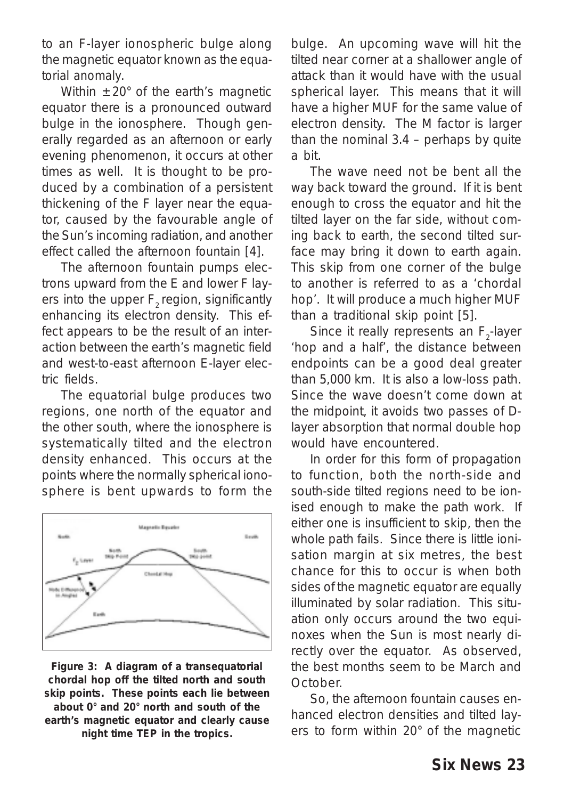to an F-layer ionospheric bulge along the magnetic equator known as the *equatorial anomaly*.

Within  $\pm 20^\circ$  of the earth's magnetic equator there is a pronounced outward bulge in the ionosphere. Though generally regarded as an afternoon or early evening phenomenon, it occurs at other times as well. It is thought to be produced by a combination of a persistent thickening of the F layer near the equator, caused by the favourable angle of the Sun's incoming radiation, and another effect called the *afternoon fountain* [4].

The afternoon fountain pumps electrons upward from the E and lower F layers into the upper  $F_{2}$  region, significantly enhancing its electron density. This effect appears to be the result of an interaction between the earth's magnetic field and west-to-east afternoon E-layer electric fields.

The equatorial bulge produces two regions, one north of the equator and the other south, where the ionosphere is systematically tilted and the electron density enhanced. This occurs at the points where the normally spherical ionosphere is bent upwards to form the



**Figure 3: A diagram of a transequatorial chordal hop off the tilted north and south skip points. These points each lie between about 0° and 20° north and south of the earth's magnetic equator and clearly cause night time TEP in the tropics.**

bulge. An upcoming wave will hit the tilted near corner at a shallower angle of attack than it would have with the usual spherical layer. This means that it will have a higher MUF for the same value of electron density. The M factor is larger than the nominal 3.4 – perhaps by quite a bit.

The wave need not be bent all the way back toward the ground. If it is bent enough to cross the equator and hit the tilted layer on the far side, *without coming back to earth*, the second tilted surface may bring it down to earth again. This skip from one corner of the bulge to another is referred to as a 'chordal hop'. It will produce a much higher MUF than a traditional skip point [5].

Since it really represents an  $F_2$ -layer 'hop and a half', the distance between endpoints can be a good deal greater than 5,000 km. It is also a low-loss path. Since the wave doesn't come down at the midpoint, it avoids two passes of Dlayer absorption that normal double hop would have encountered.

In order for this form of propagation to function, *both* the north-side and south-side tilted regions need to be ionised enough to make the path work. If either one is insufficient to skip, then the whole path fails. Since there is little ionisation margin at six metres, the best chance for this to occur is when both sides of the magnetic equator are equally illuminated by solar radiation. This situation only occurs around the two equinoxes when the Sun is most nearly directly over the equator. As observed, the best months seem to be March and **October** 

So, the afternoon fountain causes enhanced electron densities and tilted layers to form within 20° of the magnetic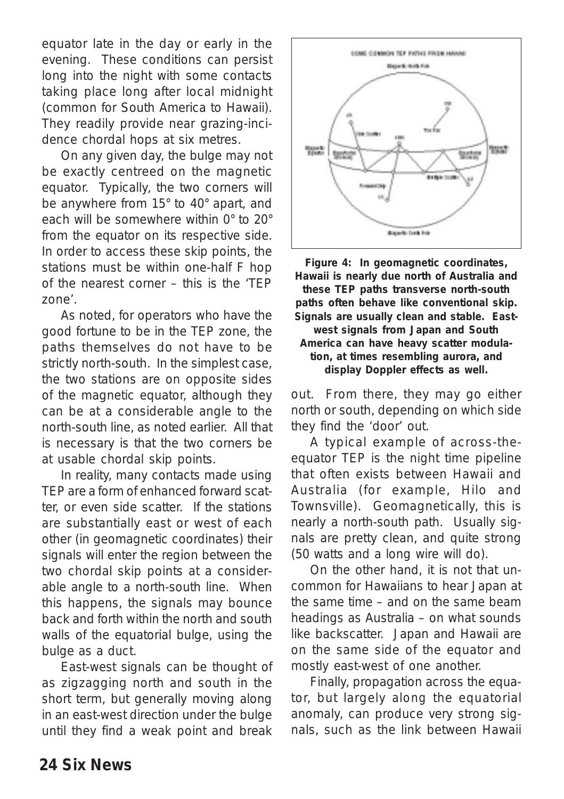equator late in the day or early in the evening. These conditions can persist long into the night with some contacts taking place long after local midnight (common for South America to Hawaii). They readily provide near grazing-incidence chordal hops at six metres.

On any given day, the bulge may not be exactly centreed on the magnetic equator. Typically, the two corners will be anywhere from 15° to 40° apart, and each will be somewhere within 0° to 20° from the equator on its respective side. In order to access these skip points, the stations must be within one-half F hop of the nearest corner – this is the 'TEP zone'.

As noted, for operators who have the good fortune to be in the TEP zone, the paths themselves do not have to be strictly north-south. In the simplest case, the two stations are on opposite sides of the magnetic equator, although they can be at a considerable angle to the north-south line, as noted earlier. All that is necessary is that the two corners be at usable chordal skip points.

In reality, many contacts made using TEP are a form of enhanced forward scatter, or even side scatter. If the stations are substantially east or west of each other (in geomagnetic coordinates) their signals will enter the region between the two chordal skip points at a considerable angle to a north-south line. When this happens, the signals may bounce back and forth *within* the north and south walls of the equatorial bulge, using the bulge as a *duct*.

East-west signals can be thought of as zigzagging north and south in the short term, but generally moving along in an east-west direction under the bulge until they find a weak point and break



**Figure 4: In geomagnetic coordinates, Hawaii is nearly due north of Australia and these TEP paths transverse north-south paths often behave like conventional skip. Signals are usually clean and stable. Eastwest signals from Japan and South America can have heavy scatter modulation, at times resembling aurora, and display Doppler effects as well.**

out. From there, they may go either north or south, depending on which side they find the 'door' out.

A typical example of across-theequator TEP is the night time pipeline that often exists between Hawaii and Australia (for example, Hilo and Townsville). Geomagnetically, this is nearly a north-south path. Usually signals are pretty clean, and quite strong (50 watts and a long wire will do).

On the other hand, it is not that uncommon for Hawaiians to hear Japan at the same time – and on the same beam headings as Australia – on what sounds like backscatter. Japan and Hawaii are on the same side of the equator and mostly east-west of one another.

Finally, propagation across the equator, but largely *along* the equatorial anomaly, can produce very strong signals, such as the link between Hawaii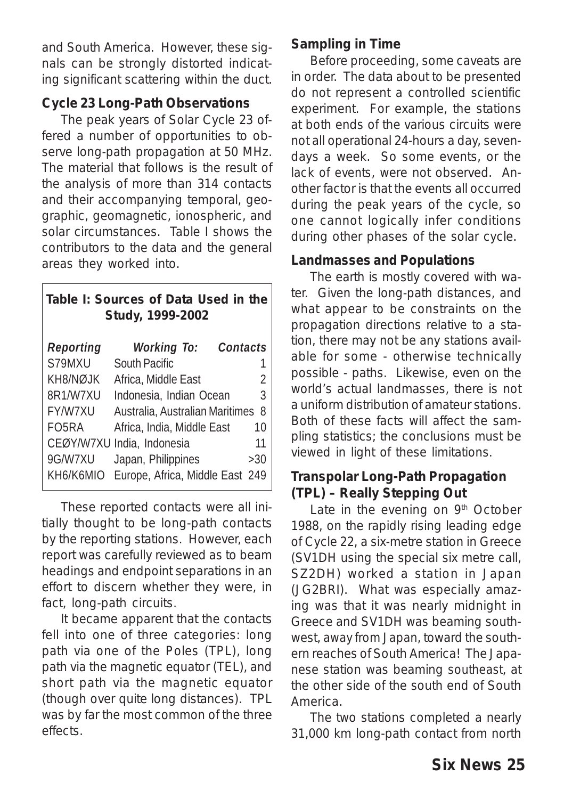and South America. However, these signals can be strongly distorted indicating significant scattering within the duct.

### **Cycle 23 Long-Path Observations**

The peak years of Solar Cycle 23 offered a number of opportunities to observe long-path propagation at 50 MHz. The material that follows is the result of the analysis of more than 314 contacts and their accompanying temporal, geographic, geomagnetic, ionospheric, and solar circumstances. Table I shows the contributors to the data and the general areas they worked into.

| Table I: Sources of Data Used in the<br>Study, 1999-2002 |                                 |     |  |  |  |  |
|----------------------------------------------------------|---------------------------------|-----|--|--|--|--|
| Reporting                                                | Contacts<br><b>Working To:</b>  |     |  |  |  |  |
| S79MXU                                                   | South Pacific                   |     |  |  |  |  |
| KH8/NØJK                                                 | Africa, Middle East             | 2   |  |  |  |  |
| 8R1/W7XU                                                 | Indonesia, Indian Ocean         | 3   |  |  |  |  |
| <b>FY/W7XU</b>                                           | Australia, Australian Maritimes | 8   |  |  |  |  |
| FO <sub>5</sub> RA                                       | Africa, India, Middle East      | 10  |  |  |  |  |
|                                                          | CEØY/W7XU India, Indonesia      | 11  |  |  |  |  |
| 9G/W7XU                                                  | Japan, Philippines              | >30 |  |  |  |  |
| KH6/K6MIO                                                | Europe, Africa, Middle East 249 |     |  |  |  |  |

These reported contacts were all initially thought to be long-path contacts by the reporting stations. However, each report was carefully reviewed as to beam headings and endpoint separations in an effort to discern whether they were, in fact, long-path circuits.

It became apparent that the contacts fell into one of three categories: long path via one of the Poles (TPL), long path via the magnetic equator (TEL), and short path via the magnetic equator (though over quite long distances). TPL was by far the most common of the three effects.

### **Sampling in Time**

Before proceeding, some caveats are in order. The data about to be presented do not represent a controlled scientific experiment. For example, the stations at both ends of the various circuits were not all operational 24-hours a day, sevendays a week. So some events, or *the lack of events*, were not observed. Another factor is that the events all occurred during the peak years of the cycle, so one cannot logically infer conditions during other phases of the solar cycle.

#### **Landmasses and Populations**

The earth is mostly covered with water. Given the long-path distances, and what appear to be constraints on the propagation directions relative to a station, there may not be any stations available for some - otherwise technically possible - paths. Likewise, even on the world's actual landmasses, there is not a uniform distribution of amateur stations. Both of these facts will affect the sampling statistics; the conclusions must be viewed in light of these limitations.

#### **Transpolar Long-Path Propagation (TPL) – Really Stepping Out**

Late in the evening on 9<sup>th</sup> October 1988, on the rapidly rising leading edge of Cycle 22, a six-metre station in Greece (SV1DH using the special six metre call, SZ2DH) worked a station in Japan (JG2BRI). What was especially amazing was that it was nearly midnight in Greece and SV1DH was beaming southwest, *away from Japan*, toward the southern reaches of South America! The Japanese station was beaming *southeast*, at the other side of the south end of South America.

The two stations completed a nearly 31,000 km long-path contact from north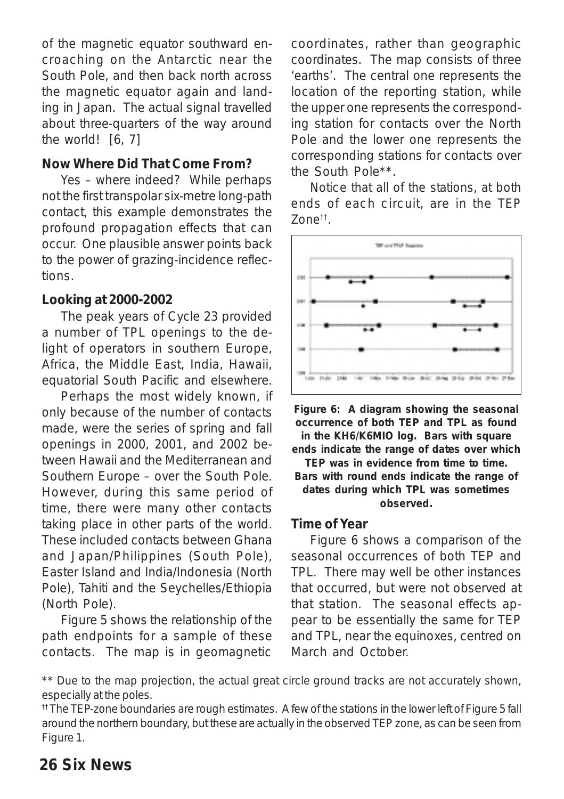of the magnetic equator southward encroaching on the Antarctic near the South Pole, and then back north across the magnetic equator again and landing in Japan. The actual signal travelled about three-quarters of the way around the world! [6, 7]

#### **Now Where Did That Come From?**

Yes – where indeed? While perhaps not the first transpolar six-metre long-path contact, this example demonstrates the profound propagation effects that can occur. One plausible answer points back to the power of grazing-incidence reflections.

#### **Looking at 2000-2002**

The peak years of Cycle 23 provided a number of TPL openings to the delight of operators in southern Europe, Africa, the Middle East, India, Hawaii, equatorial South Pacific and elsewhere.

Perhaps the most widely known, if only because of the number of contacts made, were the series of spring and fall openings in 2000, 2001, and 2002 between Hawaii and the Mediterranean and Southern Europe – over the South Pole. However, during this same period of time, there were many other contacts taking place in other parts of the world. These included contacts between Ghana and Japan/Philippines (South Pole), Easter Island and India/Indonesia (North Pole), Tahiti and the Seychelles/Ethiopia (North Pole).

Figure 5 shows the relationship of the path endpoints for a sample of these contacts. The map is in *geomagnetic* coordinates, rather than geographic coordinates. The map consists of three 'earths'. The central one represents the location of the reporting station, while the upper one represents the corresponding station for contacts over the North Pole and the lower one represents the corresponding stations for contacts over the South Pole\*\*.

*Notice that all of the stations, at both ends of each circuit, are in the TEP Zone*††*.*



**Figure 6: A diagram showing the seasonal occurrence of both TEP and TPL as found in the KH6/K6MIO log. Bars with square ends indicate the range of dates over which TEP was in evidence from time to time. Bars with round ends indicate the range of dates during which TPL was sometimes observed.**

#### **Time of Year**

Figure 6 shows a comparison of the seasonal occurrences of both TEP and TPL. There may well be other instances that occurred, but were not observed at that station. The seasonal effects appear to be essentially the same for TEP and TPL, near the equinoxes, centred on March and October.

\*\* Due to the map projection, the actual great circle ground tracks are not accurately shown, especially at the poles.

†† The TEP-zone boundaries are rough estimates. A few of the stations in the lower left of Figure 5 fall around the northern boundary, but these are actually in the observed TEP zone, as can be seen from Figure 1.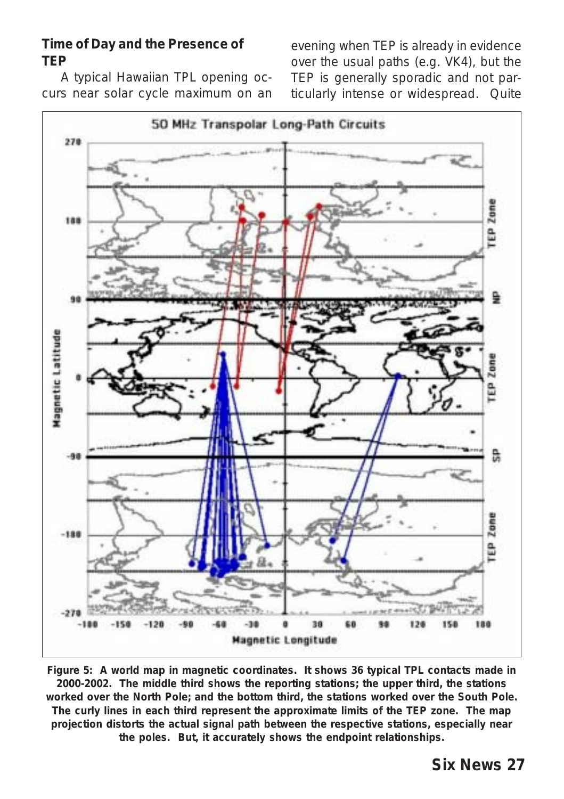#### **Time of Day and the Presence of TEP**

A typical Hawaiian TPL opening occurs near solar cycle maximum on an evening when TEP is already in evidence over the usual paths (e.g. VK4), but the TEP is generally sporadic and not particularly intense or widespread. Quite



**Figure 5: A world map in** *magnetic coordinate***s. It shows 36 typical TPL contacts made in 2000-2002. The** *middle* **third shows the reporting stations; the** *upper* **third, the stations worked over the North Pole; and the** *bottom* **third, the stations worked over the South Pole. The curly lines in each third represent the approximate limits of the TEP zone. The map projection distorts the actual signal path between the respective stations, especially near the poles. But, it accurately shows the endpoint relationships.**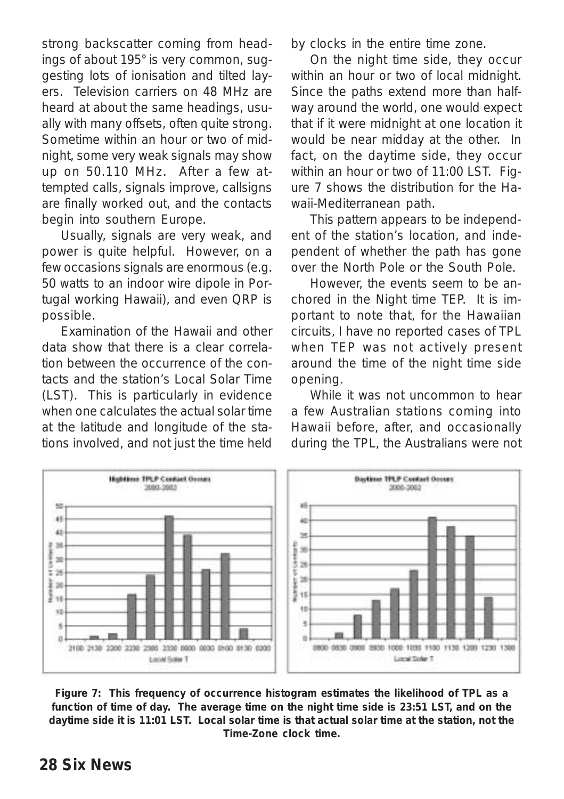strong backscatter coming from headings of about 195° is very common, suggesting lots of ionisation and tilted layers. Television carriers on 48 MHz are heard at about the same headings, usually with many offsets, often quite strong. Sometime within an hour or two of midnight, some very weak signals may show up on 50.110 MHz. After a few attempted calls, signals improve, callsigns are finally worked out, and the contacts begin into southern Europe.

Usually, signals are very weak, and power is quite helpful. However, on a few occasions signals are enormous (e.g. 50 watts to an indoor wire dipole in Portugal working Hawaii), and even QRP is possible.

Examination of the Hawaii and other data show that there is a clear correlation between the occurrence of the contacts and the station's Local Solar Time (LST). This is particularly in evidence when one calculates the actual solar time at the latitude and longitude of the stations involved, and not just the time held by clocks in the entire time zone.

On the night time side, they occur within an hour or two of local midnight. Since the paths extend more than halfway around the world, one would expect that if it were midnight at one location it would be near midday at the other. In fact, on the daytime side, they occur within an hour or two of 11:00 LST. Figure 7 shows the distribution for the Hawaii-Mediterranean path.

This pattern appears to be independent of the station's location, and independent of whether the path has gone over the North Pole or the South Pole.

However, the events seem to be anchored in the Night time TEP. It is important to note that, for the Hawaiian circuits, I have *no* reported cases of TPL when TEP was *not* actively present around the time of the night time side opening.

While it was not uncommon to hear a few Australian stations coming into Hawaii before, after, and occasionally during the TPL, the Australians were not



**Figure 7: This frequency of occurrence histogram estimates the likelihood of TPL as a function of time of day. The average time on the night time side is 23:51 LST, and on the daytime side it is 11:01 LST. Local solar time is that actual solar time at the station, not the Time-Zone clock time.**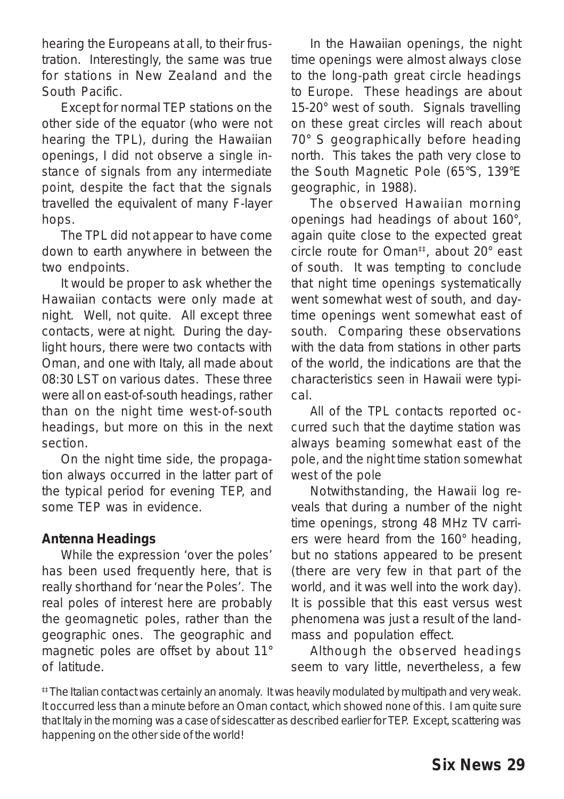hearing the Europeans at all, to their frustration. Interestingly, the same was true for stations in New Zealand and the South Pacific.

Except for normal TEP stations on the other side of the equator (who were not hearing the TPL), during the Hawaiian openings, *I did not observe a single instance of signals from any intermediate point*, despite the fact that the signals travelled the equivalent of many F-layer hops.

The TPL did not appear to have come down to earth anywhere in between the two endpoints.

It would be proper to ask whether the Hawaiian contacts were only made at night. Well, not quite. All except three contacts, were at night. During the daylight hours, there were two contacts with Oman, and one with Italy, all made about 08:30 LST on various dates. These three were all on east-of-south headings, rather than on the night time west-of-south headings, but more on this in the next section.

On the night time side, the propagation always occurred in the latter part of the typical period for evening TEP, and some TEP was in evidence.

#### **Antenna Headings**

While the expression 'over the poles' has been used frequently here, that is really shorthand for 'near the Poles'. The real poles of interest here are probably the *geomagnetic* poles, rather than the geographic ones. The geographic and magnetic poles are offset by about 11° of latitude.

In the Hawaiian openings, the night time openings were almost always close to the long-path great circle headings to Europe. These headings are about 15-20° west of south. Signals travelling on these great circles will reach about 70° S geographically before heading north. This takes the path very close to the South Magnetic Pole (65°S, 139°E geographic, in 1988).

The observed Hawaiian morning openings had headings of about 160°, again quite close to the expected great circle route for Oman<sup>‡‡</sup>, about 20° east of south. It was tempting to conclude that night time openings systematically went somewhat west of south, and daytime openings went somewhat east of south. Comparing these observations with the data from stations in other parts of the world, the indications are that the characteristics seen in Hawaii were typical.

*All of the TPL contacts reported occurred such that the daytime station was always beaming somewhat east of the pole, and the night time station somewhat west of the pole*

Notwithstanding, the Hawaii log reveals that during a number of the night time openings, strong 48 MHz TV carriers were heard from the 160° heading, but no stations appeared to be present (there are very few in that part of the world, and it was well into the work day). It is possible that this east versus west phenomena was just a result of the landmass and population effect.

Although the observed headings seem to vary little, nevertheless, a few

<sup>#‡</sup> The Italian contact was certainly an anomaly. It was heavily modulated by multipath and very weak. It occurred less than a minute before an Oman contact, which showed none of this. I am quite sure that Italy in the morning was a case of sidescatter as described earlier for TEP. Except, scattering was happening on the other side of the world!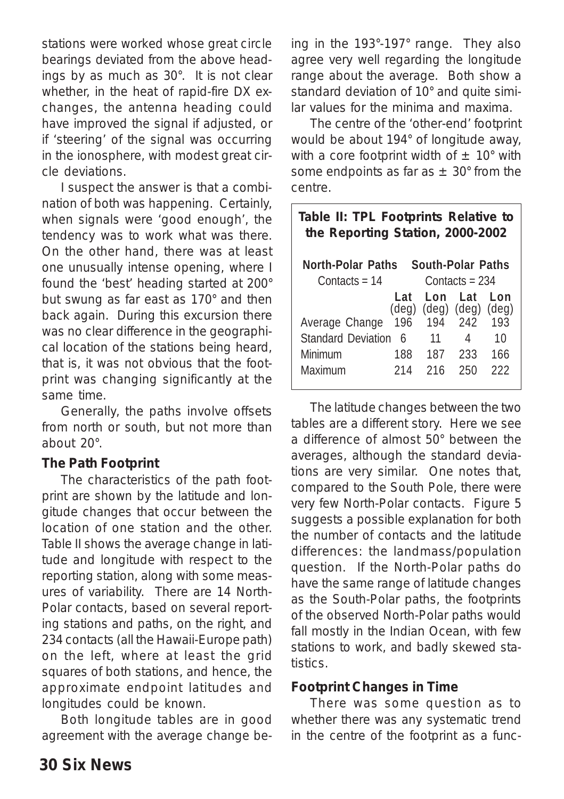stations were worked whose g*reat circle* bearings deviated from the above headings by as much as 30°. It is not clear whether, in the heat of rapid-fire DX exchanges, the antenna heading could have improved the signal if adjusted, or if 'steering' of the signal was occurring in the ionosphere, with modest great circle deviations.

I suspect the answer is that a combination of both was happening. Certainly, when signals were 'good enough', the tendency was to work what was there. On the other hand, there was at least one unusually intense opening, where I found the 'best' heading started at 200° but swung as far east as 170° and then back again. During this excursion there was no clear difference in the geographical location of the stations being heard, that is, it was not obvious that the footprint was changing significantly at the same time.

Generally, the paths involve offsets from north or south, but not more than about 20°.

#### **The Path Footprint**

The characteristics of the path footprint are shown by the latitude and longitude changes that occur between the location of one station and the other. Table II shows the average change in latitude and longitude with respect to the reporting station, along with some measures of variability. There are 14 North-Polar contacts, based on several reporting stations and paths, on the right, and 234 contacts (all the Hawaii-Europe path) on the left, where at least the grid squares of both stations, and hence, the approximate endpoint latitudes and longitudes could be known.

Both longitude tables are in good agreement with the average change being in the 193°-197° range. They also agree very well regarding the longitude range about the average. Both show a standard deviation of 10° and quite similar values for the minima and maxima.

The centre of the 'other-end' footprint would be about 194° of longitude away, with a core footprint width of  $\pm$  10° with some endpoints as far as  $\pm$  30° from the centre.

| Table II: TPL Footprints Relative to<br>the Reporting Station, 2000-2002 |                     |     |                                                 |                              |  |  |  |  |
|--------------------------------------------------------------------------|---------------------|-----|-------------------------------------------------|------------------------------|--|--|--|--|
| South-Polar Paths<br>North-Polar Paths                                   |                     |     |                                                 |                              |  |  |  |  |
| Contacts = $14$                                                          | Contacts = $234$    |     |                                                 |                              |  |  |  |  |
| Average Change                                                           | Lat<br>(deg)<br>196 | Lon | Lat<br>$(\text{deg})$ $(\text{deg})$<br>194 242 | Lon<br>$(\text{deg})$<br>193 |  |  |  |  |
| <b>Standard Deviation</b>                                                | - 6                 | 11  | 4                                               | 10                           |  |  |  |  |
| Minimum                                                                  | 188                 | 187 | 233                                             | 166                          |  |  |  |  |
| Maximum                                                                  | 214                 | 216 | 250                                             | 222                          |  |  |  |  |

The latitude changes between the two tables are a different story. Here we see a difference of almost 50° between the averages, although the standard deviations are very similar. One notes that, compared to the South Pole, there were very few North-Polar contacts. Figure 5 suggests a possible explanation for both the number of contacts and the latitude differences: the landmass/population question. If the North-Polar paths do have the same range of latitude changes as the South-Polar paths, the footprints of the *observed* North-Polar paths would fall mostly in the Indian Ocean, with few stations to work, and badly skewed statistics.

#### **Footprint Changes in Time**

There was some question as to whether there was any systematic trend in the centre of the footprint as a func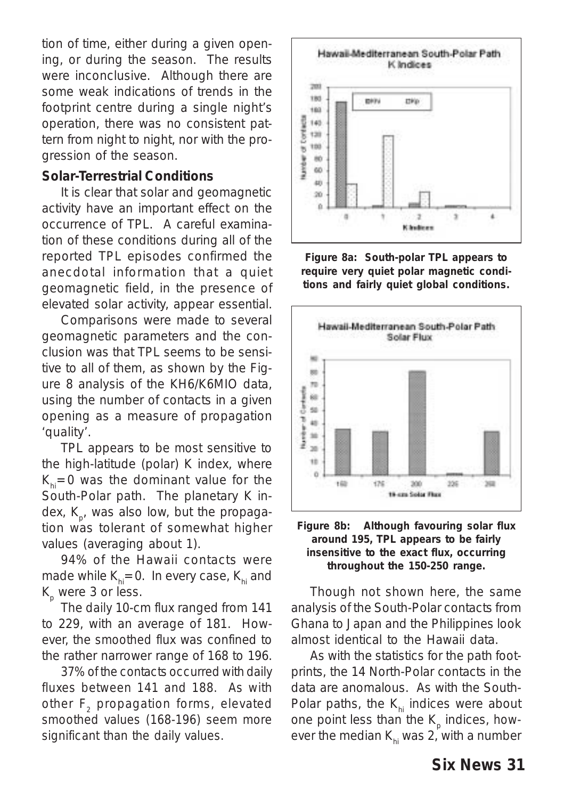tion of time, either during a given opening, or during the season. The results were inconclusive. Although there are some weak indications of trends in the footprint centre during a single night's operation, there was no consistent pattern from night to night, nor with the progression of the season.

#### **Solar-Terrestrial Conditions**

It is clear that solar and geomagnetic activity have an important effect on the occurrence of TPL. A careful examination of these conditions during all of the reported TPL episodes confirmed the anecdotal information that a quiet geomagnetic field, in the presence of elevated solar activity, appear essential.

Comparisons were made to several geomagnetic parameters and the conclusion was that TPL seems to be sensitive to all of them, as shown by the Figure 8 analysis of the KH6/K6MIO data, using the number of contacts in a given opening as a measure of propagation 'quality'.

TPL appears to be *most* sensitive to the high-latitude (polar) K index, where  $K_{hi}=0$  was the dominant value for the South-Polar path. The planetary K index,  $K_{p}$ , was also low, but the propagation was tolerant of somewhat higher values (averaging about 1).

94% of the Hawaii contacts were made while  $K_{hi}=0$ . In every case,  $K_{hi}$  and  $K_p$  were 3 or less.

The *daily* 10-cm flux ranged from 141 to 229, with an average of 181. However, the *smoothed* flux was confined to the rather narrower range of 168 to 196.

*37% of the contacts occurred with daily fluxes between 141 and 188. As with other F2 propagation forms, elevated smoothed values (168-196) seem more significant than the daily values.*



**Figure 8a: South-polar TPL appears to require very quiet polar magnetic conditions and fairly quiet global conditions.**



#### **Figure 8b: Although favouring solar flux around 195, TPL appears to be fairly insensitive to the exact flux, occurring throughout the 150-250 range.**

Though not shown here, the same analysis of the South-Polar contacts from Ghana to Japan and the Philippines look almost identical to the Hawaii data.

As with the statistics for the path footprints, the 14 North-Polar contacts in the data are anomalous. As with the South-Polar paths, the  $K_{hi}$  indices were about one point less than the K<sub>p</sub> indices, how*ever* the median  $K_{hi}$  was 2, with a number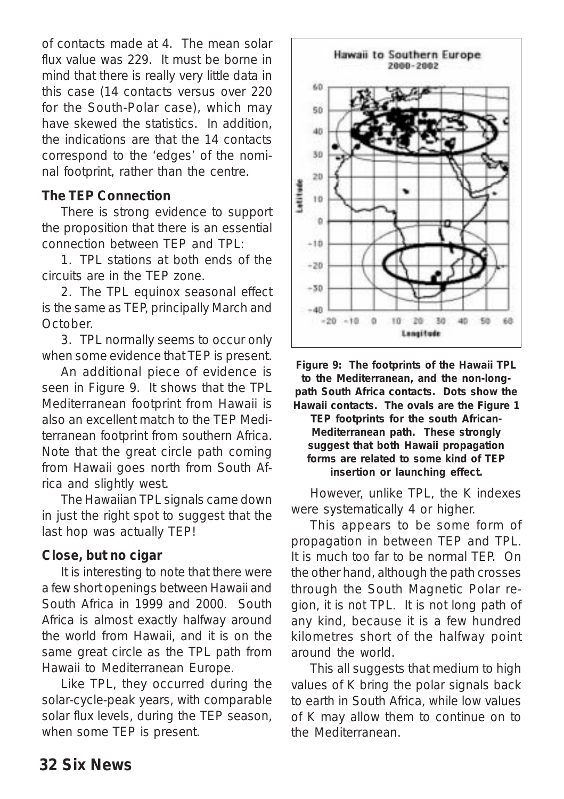of contacts made at 4. The mean solar flux value was 229. It must be borne in mind that there is really very little data in this case (14 contacts versus over 220 for the South-Polar case), which may have skewed the statistics. In addition, the indications are that the 14 contacts correspond to the 'edges' of the nominal footprint, rather than the centre.

#### **The TEP Connection**

There is strong evidence to support the proposition that there is an essential connection between TEP and TPL:

1. TPL stations at both ends of the circuits are in the TEP zone.

2. The TPL equinox seasonal effect is the same as TEP, principally March and October.

3. TPL normally seems to occur only when some evidence that TEP is present.

An additional piece of evidence is seen in Figure 9. It shows that the TPL Mediterranean footprint from Hawaii is also an excellent match to the TEP Mediterranean footprint from southern Africa. Note that the great circle path coming from Hawaii goes north from South Africa and slightly west.

The Hawaiian TPL signals came down in just the right spot to suggest that the last hop was actually TEP!

#### **Close, but no cigar**

It is interesting to note that there were a few short openings between Hawaii and South Africa in 1999 and 2000. South Africa is almost exactly halfway around the world from Hawaii, and it is on the *same* great circle as the TPL path from Hawaii to Mediterranean Europe.

Like TPL, they occurred during the solar-cycle-peak years, with comparable solar flux levels, during the TEP season, when some TEP is present.



**Figure 9: The footprints of the Hawaii TPL to the Mediterranean, and the non-longpath South Africa contacts. Dots show the Hawaii contacts. The ovals are the Figure 1 TEP footprints for the south African-Mediterranean path. These strongly suggest that both Hawaii propagation forms are related to some kind of TEP insertion or launching effect.**

However, unlike TPL, the K indexes were systematically 4 or higher.

This appears to be some form of propagation *in between* TEP and TPL. It is much *too far* to be normal TEP. On the other hand, although the path crosses through the South Magnetic Polar region, it is *not* TPL. It is *not* long path of any kind, because it is a few hundred kilometres short of the halfway point around the world.

This all suggests that medium to high values of K bring the polar signals back to earth in South Africa, while low values of K may allow them to continue on to the Mediterranean.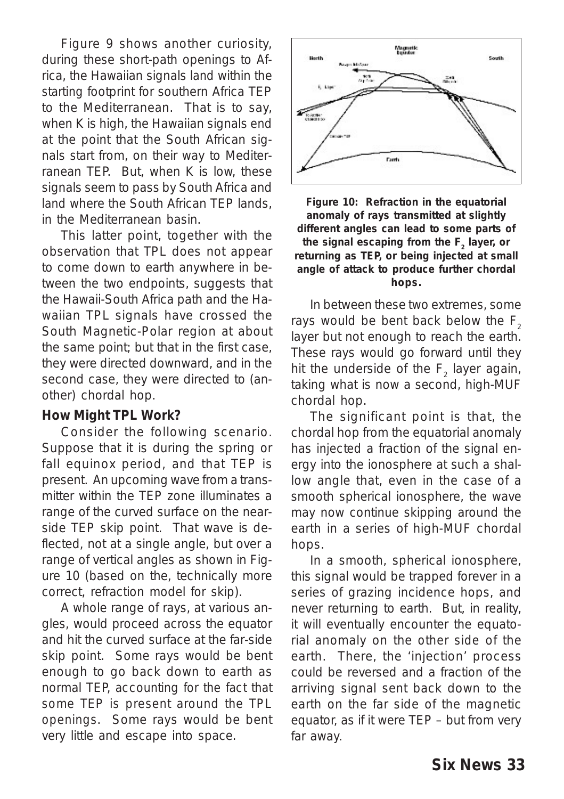Figure 9 shows another curiosity, during these short-path openings to Africa, the Hawaiian signals *land* within the *starting* footprint for southern Africa TEP to the Mediterranean. That is to say, when K is high, the Hawaiian signals *end* at the point that the South African signals *start* from, on their way to Mediterranean TEP. But, when K is low, these signals seem to pass by South Africa and *land* where the South African TEP lands, in the Mediterranean basin.

This latter point, together with the observation that TPL does not appear to come down to earth anywhere in between the two endpoints, suggests that the Hawaii-South Africa path and the Hawaiian TPL signals have crossed the South Magnetic-Polar region at about the same point; but that in the first case, they were directed downward, and in the second case, they were directed to (another) chordal hop.

#### **How Might TPL Work?**

Consider the following scenario. Suppose that it is during the spring or fall equinox period, and that TEP is present. An upcoming wave from a transmitter within the TEP zone illuminates a range of the curved surface on the nearside TEP skip point. That wave is deflected, not at a single angle, but over a range of vertical angles as shown in Figure 10 (based on the, technically more correct, refraction model for skip).

A whole range of rays, at various angles, would proceed across the equator and hit the curved surface at the far-side skip point. Some rays would be bent enough to go back down to earth as normal TEP, *accounting for the fact that some TEP is present around the TPL openings*. Some rays would be bent very little and escape into space.



**Figure 10: Refraction in the equatorial anomaly of rays transmitted at slightly different angles can lead to some parts of** the signal escaping from the F<sub>2</sub> layer, or **returning as TEP,** *or* **being injected at small angle of attack to produce further chordal hops.**

In between these two extremes, some rays would be bent back below the  $F<sub>2</sub>$ layer but not enough to reach the earth. These rays would go forward until they hit the underside of the  $F_2$  layer again, taking what is now a second, high-MUF chordal hop.

The significant point is that, the chordal hop from the equatorial anomaly has *injected* a fraction of the signal energy into the ionosphere at such a shallow angle that, even in the case of a smooth spherical ionosphere, the wave may now continue skipping around the earth in a series of high-MUF chordal hops.

In a smooth, spherical ionosphere, this signal would be trapped forever in a series of grazing incidence hops, and never returning to earth. But, in reality, it will eventually encounter the equatorial anomaly on the *other side* of the earth. There, the 'injection' process could be reversed and a fraction of the arriving signal sent back down to the earth on the far side of the magnetic equator, as if it were TEP – but from very far away.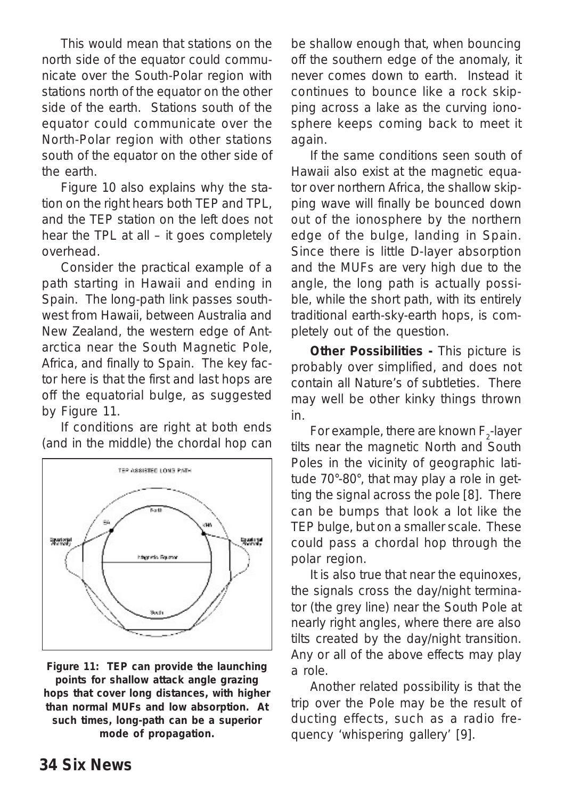This would mean that stations on the north side of the equator could communicate over the South-Polar region with stations north of the equator on the other side of the earth. Stations south of the equator could communicate over the North-Polar region with other stations south of the equator on the other side of the earth.

Figure 10 also explains why the station on the right hears both TEP and TPL, and the TEP station on the left does not hear the TPL at all – it goes completely overhead.

Consider the practical example of a path starting in Hawaii and ending in Spain. The long-path link passes southwest from Hawaii, between Australia and New Zealand, the western edge of Antarctica near the South Magnetic Pole, Africa, and finally to Spain. The key factor here is that the first and last hops are off the equatorial bulge, as suggested by Figure 11.

If conditions are right at both ends (and in the middle) the chordal hop can



**Figure 11:****TEP can provide the launching points for shallow attack angle grazing hops that cover long distances, with higher than normal MUFs and low absorption. At such times, long-path can be a superior mode of propagation.**

be shallow enough that, when bouncing off the southern edge of the anomaly, it never comes down to earth. Instead it continues to bounce like a rock skipping across a lake as the curving ionosphere keeps coming back to meet it again.

If the same conditions seen south of Hawaii also exist at the magnetic equator over northern Africa, the shallow skipping wave will finally be bounced down *out* of the ionosphere by the northern edge of the bulge, landing in Spain. Since there is little D-layer absorption and the MUFs are very high due to the angle, the long path is actually possible, while the short path, with its entirely traditional earth-sky-earth hops, is completely out of the question.

*Other Possibilities -* This picture is probably over simplified, and does not contain all Nature's of subtleties. There may well be other kinky things thrown in.

For example, there are known F<sub>2</sub>-layer tilts near the *magnetic* North and South Poles in the vicinity of geographic latitude 70°-80°, that may play a role in getting the signal across the pole [8]. There can be bumps that look a lot like the TEP bulge, but on a smaller scale. These could pass a chordal hop through the polar region.

It is also true that near the equinoxes, the signals cross the day/night terminator (the grey line) near the South Pole at nearly right angles, where there are also tilts created by the day/night transition. Any or all of the above effects may play a role.

Another related possibility is that the trip over the Pole may be the result of ducting effects, such as a radio frequency 'whispering gallery' [9].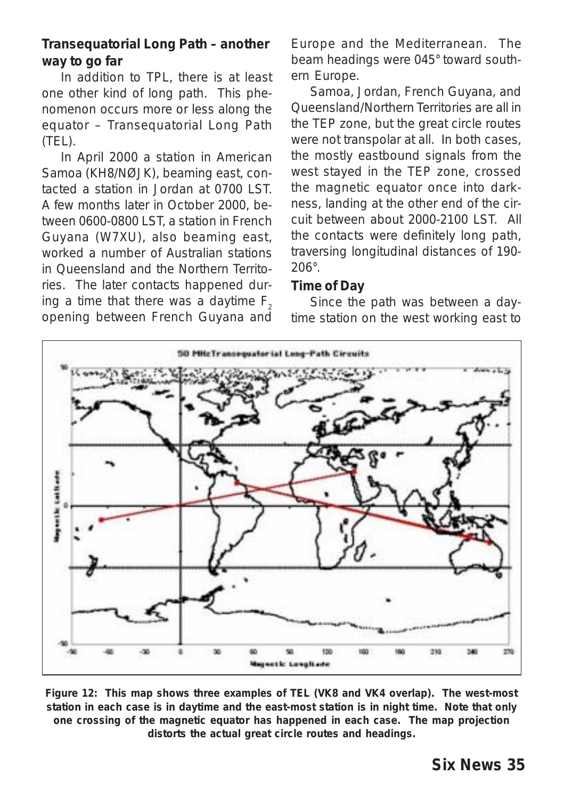#### **Transequatorial Long Path – another way to go far**

In addition to TPL, there is at least one other kind of long path. This phenomenon occurs more or less along the equator – Transequatorial Long Path (TEL).

In April 2000 a station in American Samoa (KH8/NØJK), beaming east, contacted a station in Jordan at 0700 LST. A few months later in October 2000, between 0600-0800 LST, a station in French Guyana (W7XU), also beaming east, worked a number of Australian stations in Queensland and the Northern Territories. The later contacts happened during a time that there was a daytime  $F<sub>2</sub>$ opening between French Guyana and Europe and the Mediterranean. The beam headings were 045° toward southern Europe.

Samoa, Jordan, French Guyana, and Queensland/Northern Territories are all in the TEP zone, but the great circle routes were not transpolar at all. In both cases, the mostly eastbound signals from the west stayed in the TEP zone, crossed the magnetic equator once into darkness, landing at the other end of the circuit between about 2000-2100 LST. All the contacts were definitely long path, traversing longitudinal distances of 190- 206°.

#### **Time of Day**

Since the path was between a daytime station on the west working east to



**Figure 12: This map shows three examples of TEL (VK8 and VK4 overlap). The west-most station in each case is in daytime and the east-most station is in night time. Note that only one crossing of the magnetic equator has happened in each case. The map projection distorts the actual great circle routes and headings.**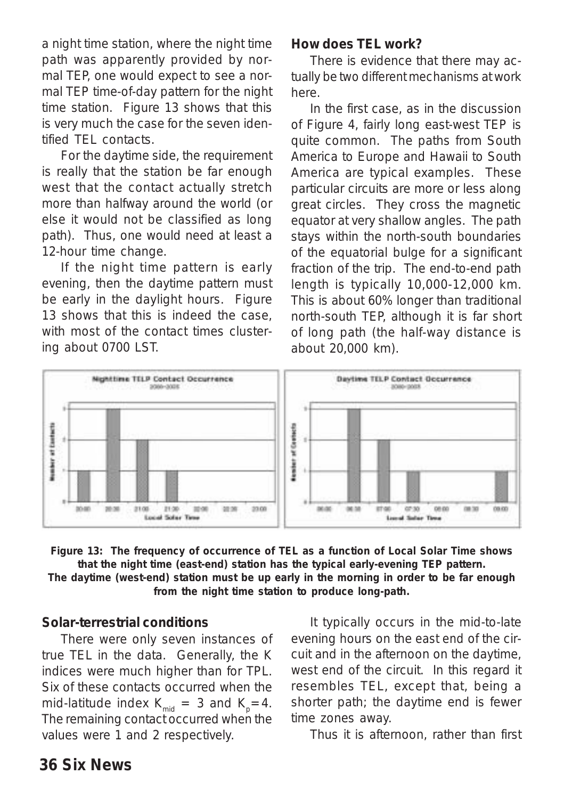a night time station, where the night time path was apparently provided by normal TEP, one would expect to see a normal TEP time-of-day pattern for the night time station. Figure 13 shows that this is very much the case for the seven identified TEL contacts.

For the daytime side, the requirement is really that the station be far enough west that the contact actually stretch more than halfway around the world (or else it would not be classified as long path). Thus, one would need at least a 12-hour time change.

If the night time pattern is early evening, then the daytime pattern must be early in the daylight hours. Figure 13 shows that this is indeed the case, with most of the contact times clustering about 0700 LST.

#### **How does TEL work?**

There is evidence that there may actually be *two different mechanisms* at work here.

In the first case, as in the discussion of Figure 4, fairly long east-west TEP is quite common. The paths from South America to Europe and Hawaii to South America are typical examples. These particular circuits are more or less along great circles. They cross the magnetic equator at very shallow angles. The path stays within the north-south boundaries of the equatorial bulge for a significant fraction of the trip. The end-to-end path length is typically 10,000-12,000 km. This is about 60% longer than traditional north-south TEP, although it is far short of long path (the half-way distance is about 20,000 km).



**Figure 13: The frequency of occurrence of TEL as a function of Local Solar Time shows that the night time (east-end) station has the typical early-evening TEP pattern. The daytime (west-end) station must be up early in the morning in order to be far enough from the night time station to produce long-path.**

#### **Solar-terrestrial conditions**

There were only seven instances of true TEL in the data. Generally, the K indices were much higher than for TPL. Six of these contacts occurred when the mid-latitude index  $K_{mid} = 3$  and  $K_{p} = 4$ . The remaining contact occurred when the values were 1 and 2 respectively.

It typically occurs in the mid-to-late evening hours on the *east end* of the circuit and in the afternoon on the daytime, west end of the circuit. In this regard it resembles TEL, except that, being a shorter path; the daytime end is fewer time zones away.

Thus it is afternoon, rather than first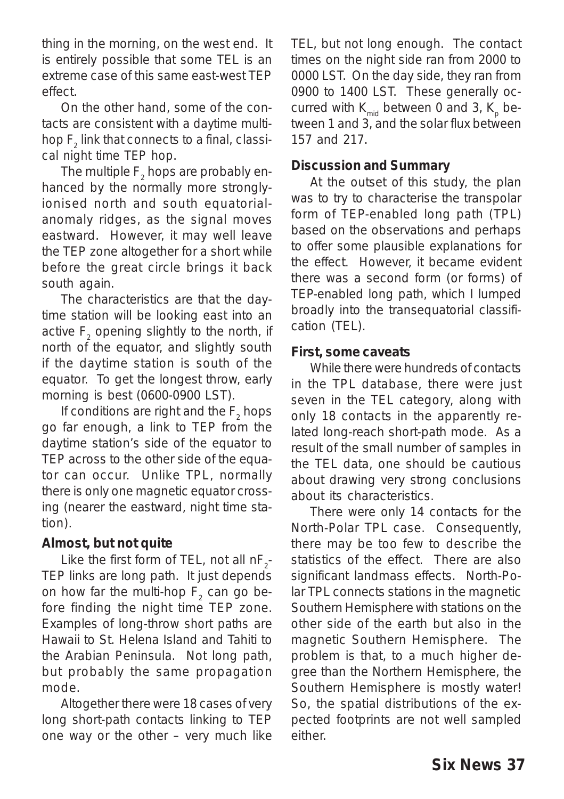thing in the morning, on the west end. It is entirely possible that some TEL is an extreme case of this same east-west TEP effect.

On the other hand, some of the contacts are consistent with a *daytime multihop F2 link that connects to a final, classical night time TEP hop*.

The multiple  $\mathsf{F}_2$  hops are probably enhanced by the normally more stronglyionised north and south equatorialanomaly ridges, as the signal moves eastward. However, it may well leave the TEP zone altogether for a short while before the great circle brings it back south again.

The characteristics are that the daytime station will be looking east into an active  $\mathsf{F}_\textsf{2}$  opening slightly to the north, if north of the equator, and slightly south if the daytime station is south of the equator. To get the longest throw, early morning is best (0600-0900 LST).

If conditions are right and the  $F_2$  hops go far enough, a link to TEP from the daytime station's side of the equator to TEP across to the other side of the equator can occur. Unlike TPL, normally there is only one magnetic equator crossing (nearer the eastward, night time station).

#### **Almost, but not quite**

Like the first form of TEL, not all  $nF_2$ -TEP links are long path. It just depends on how far the multi-hop  $\mathsf{F}_2^{\vphantom{\dagger}}$  can go before finding the night time TEP zone. Examples of long-throw *short paths* are Hawaii to St. Helena Island and Tahiti to the Arabian Peninsula. Not long path, but probably the same propagation mode.

Altogether there were 18 cases of very long short-path contacts linking to TEP one way or the other – very much like TEL, but not long enough. The contact times on the night side ran from 2000 to 0000 LST. On the day side, they ran from 0900 to 1400 LST. These generally occurred with  $K_{mid}$  between 0 and 3,  $K_{p}$  between 1 and 3, and the solar flux between 157 and 217.

#### **Discussion and Summary**

At the outset of this study, the plan was to try to characterise the transpolar form of TEP-enabled long path (TPL) based on the observations and perhaps to offer some plausible explanations for the effect. However, it became evident there was a second form (or forms) of TEP-enabled long path, which I lumped broadly into the transequatorial classification (TEL).

#### **First, some caveats**

While there were hundreds of contacts in the TPL database, there were just *seven* in the TEL category, along with only 18 contacts in the apparently related long-reach short-path mode. As a result of the small number of samples in the TEL data, one should be cautious about drawing very strong conclusions about its characteristics.

There were only 14 contacts for the North-Polar TPL case. Consequently, there may be too few to describe the statistics of the effect. There are also significant landmass effects. North-Polar TPL connects stations in the magnetic Southern Hemisphere with stations on the other side of the earth but *also* in the magnetic Southern Hemisphere. The problem is that, to a much higher degree than the Northern Hemisphere, the Southern Hemisphere is mostly water! So, the spatial distributions of the expected footprints are not well sampled either.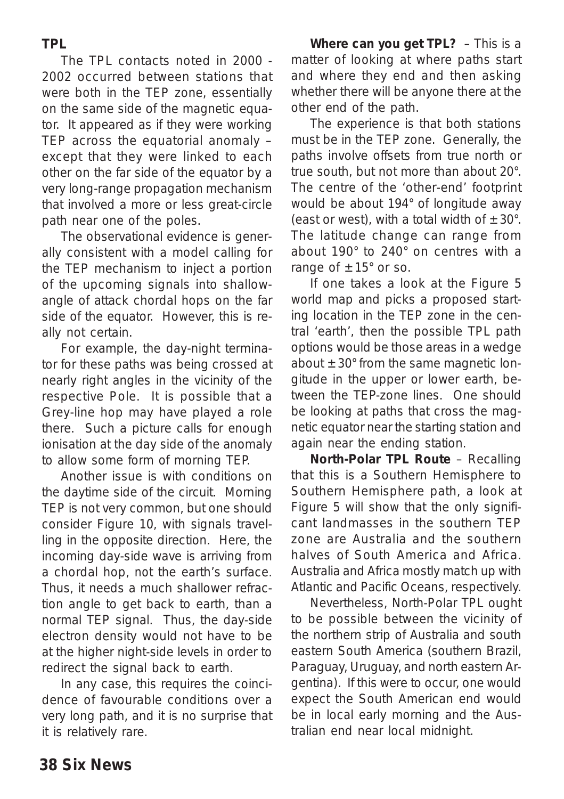For example, the day-night terminator for these paths was being crossed at nearly right angles in the vicinity of the respective Pole. It is possible that a Grey-line hop may have played a role there. Such a picture calls for enough ionisation at the day side of the anomaly to allow some form of morning TEP. Another issue is with conditions on the daytime side of the circuit. Morning

The TPL contacts noted in 2000 - 2002 occurred between stations that were both in the TEP zone, essentially on the same side of the magnetic equator. It appeared as if they were working TEP across the equatorial anomaly – except that they were linked to each other on the far side of the equator by a very long-range propagation mechanism that involved a more or less great-circle

The observational evidence is generally consistent with a model calling for the TEP mechanism to inject a portion of the upcoming signals into shallowangle of attack chordal hops on the far side of the equator. However, this is re-

path near one of the poles.

ally not certain.

TEP is not very common, but one should consider Figure 10, with signals travelling in the opposite direction. Here, the incoming day-side wave is arriving *from* a chordal hop, *not* the earth's surface. Thus, it needs a much shallower refraction angle to get back to earth, than a normal TEP signal. Thus, the day-side electron density would not have to be at the higher night-side levels in order to redirect the signal back to earth.

In any case, this requires the coincidence of favourable conditions over a very long path, and it is no surprise that it is relatively rare.

*Where can you get TPL?* – This is a matter of looking at where paths start and where they end and then asking whether there will be anyone there at the other end of the path.

The experience is that both stations must be in the TEP zone. Generally, the paths involve offsets from true north or true south, but not more than about 20°. The centre of the 'other-end' footprint would be about 194° of longitude away (east or west), with a total width of  $\pm 30^{\circ}$ . The latitude change can range from about 190° to 240° on centres with a range of  $\pm 15^{\circ}$  or so.

If one takes a look at the Figure 5 world map and picks a proposed starting location in the TEP zone in the central 'earth', then the possible TPL path options would be those areas in a wedge about  $\pm 30^{\circ}$  from the same magnetic longitude in the upper or lower earth, between the TEP-zone lines. One should be looking at paths that cross the magnetic equator near the starting station and again near the ending station.

*North-Polar TPL Route* – Recalling that this is a Southern Hemisphere to Southern Hemisphere path, a look at Figure 5 will show that the only significant landmasses in the southern TEP zone are Australia and the southern halves of South America and Africa. Australia and Africa mostly match up with Atlantic and Pacific Oceans, respectively.

Nevertheless, North-Polar TPL ought to be possible between the vicinity of the northern strip of Australia and south eastern South America (southern Brazil, Paraguay, Uruguay, and north eastern Argentina). If this were to occur, one would expect the South American end would be in local early morning and the Australian end near local midnight.

**TPL**